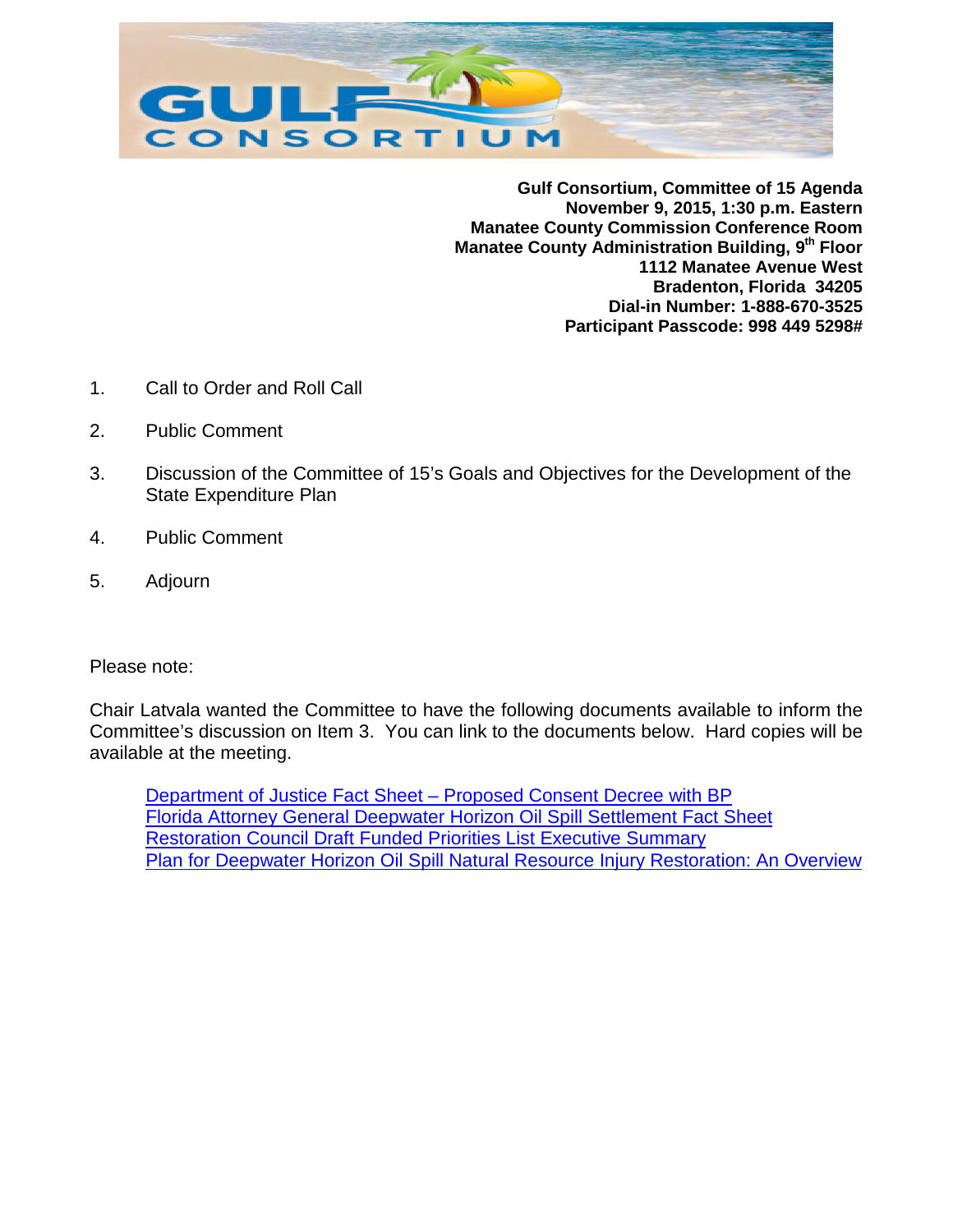

**Gulf Consortium, Committee of 15 Agenda November 9, 2015, 1:30 p.m. Eastern Manatee County Commission Conference Room Manatee County Administration Building, 9th Floor 1112 Manatee Avenue West Bradenton, Florida 34205 Dial-in Number: 1-888-670-3525 Participant Passcode: 998 449 5298#**

- 1. Call to Order and Roll Call
- 2. Public Comment
- 3. Discussion of the Committee of 15's Goals and Objectives for the Development of the State Expenditure Plan
- 4. Public Comment
- 5. Adjourn

Please note:

Chair Latvala wanted the Committee to have the following documents available to inform the Committee's discussion on Item 3. You can link to the documents below. Hard copies will be available at the meeting.

[Department of Justice Fact Sheet –](http://www.fl-counties.com/docs/default-source/restore/doj-fact-sheet-bp-consent-decreee.pdf?sfvrsn=2) Proposed Consent Decree with BP [Florida Attorney General Deepwater Horizon Oil Spill Settlement Fact Sheet](http://www.fl-counties.com/docs/default-source/restore/p-bondi-fact-sheet.pdf?sfvrsn=2) [Restoration Council Draft Funded Priorities List Executive Summary](http://www.fl-counties.com/docs/default-source/restore/restoration-council-draft-fpl-executive-summary.pdf?sfvrsn=2) [Plan for Deepwater Horizon Oil Spill Natural Resource Injury Restoration:](http://www.fl-counties.com/docs/default-source/restore/plan-for-dwh-oil-spill-resource-injury-restoration_overview_october-2015.pdf?sfvrsn=2) An Overview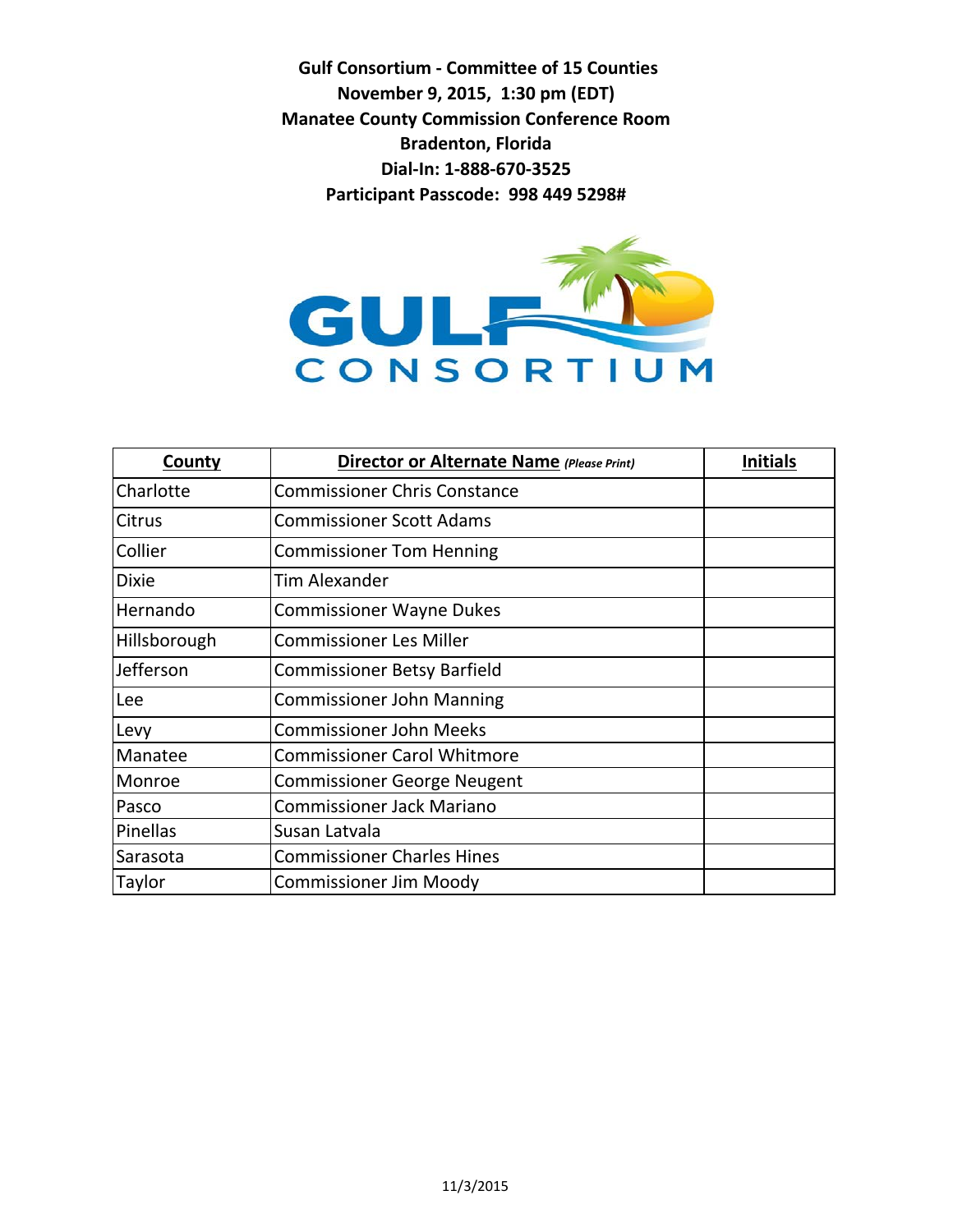**Gulf Consortium - Committee of 15 Counties November 9, 2015, 1:30 pm (EDT) Manatee County Commission Conference Room Bradenton, Florida Dial-In: 1-888-670-3525 Participant Passcode: 998 449 5298#**



| <b>County</b> | <b>Director or Alternate Name (Please Print)</b> | <b>Initials</b> |
|---------------|--------------------------------------------------|-----------------|
| Charlotte     | <b>Commissioner Chris Constance</b>              |                 |
| <b>Citrus</b> | <b>Commissioner Scott Adams</b>                  |                 |
| Collier       | <b>Commissioner Tom Henning</b>                  |                 |
| <b>Dixie</b>  | <b>Tim Alexander</b>                             |                 |
| Hernando      | <b>Commissioner Wayne Dukes</b>                  |                 |
| Hillsborough  | <b>Commissioner Les Miller</b>                   |                 |
| Jefferson     | <b>Commissioner Betsy Barfield</b>               |                 |
| Lee           | <b>Commissioner John Manning</b>                 |                 |
| Levy          | <b>Commissioner John Meeks</b>                   |                 |
| Manatee       | <b>Commissioner Carol Whitmore</b>               |                 |
| Monroe        | <b>Commissioner George Neugent</b>               |                 |
| Pasco         | <b>Commissioner Jack Mariano</b>                 |                 |
| Pinellas      | Susan Latvala                                    |                 |
| Sarasota      | <b>Commissioner Charles Hines</b>                |                 |
| Taylor        | <b>Commissioner Jim Moody</b>                    |                 |